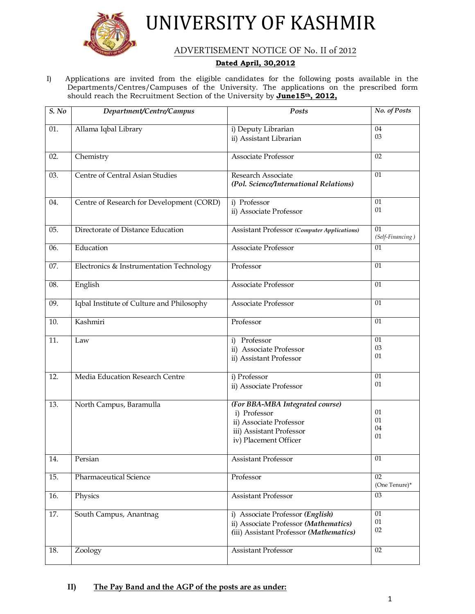

UNIVERSITY OF KASHMIR

ADVERTISEMENT NOTICE OF No. II of 2012

# **Dated April, 30,2012**

I) Applications are invited from the eligible candidates for the following posts available in the Departments/Centres/Campuses of the University. The applications on the prescribed form should reach the Recruitment Section of the University by **June15th, 2012,**

| $\overline{S. No}$ | Department/Centre/Campus                  | Posts                                                                                                                           | No. of Posts           |
|--------------------|-------------------------------------------|---------------------------------------------------------------------------------------------------------------------------------|------------------------|
| 01.                | Allama Iqbal Library                      | i) Deputy Librarian<br>ii) Assistant Librarian                                                                                  | 04<br>03               |
| 02.                | Chemistry                                 | <b>Associate Professor</b>                                                                                                      | 02                     |
| 03.                | Centre of Central Asian Studies           | Research Associate<br>(Pol. Science/International Relations)                                                                    | 01                     |
| 04.                | Centre of Research for Development (CORD) | i) Professor<br>ii) Associate Professor                                                                                         | 01<br>01               |
| 05.                | Directorate of Distance Education         | <b>Assistant Professor (Computer Applications)</b>                                                                              | 01<br>(Self-Financing) |
| 06.                | Education                                 | <b>Associate Professor</b>                                                                                                      | 01                     |
| 07.                | Electronics & Instrumentation Technology  | Professor                                                                                                                       | 01                     |
| 08.                | English                                   | Associate Professor                                                                                                             | 01                     |
| 09.                | Iqbal Institute of Culture and Philosophy | Associate Professor                                                                                                             | 01                     |
| 10.                | Kashmiri                                  | Professor                                                                                                                       | 01                     |
| 11.                | Law                                       | i) Professor<br>ii) Associate Professor<br>ii) Assistant Professor                                                              | 01<br>03<br>01         |
| 12.                | Media Education Research Centre           | i) Professor<br>ii) Associate Professor                                                                                         | 01<br>01               |
| 13.                | North Campus, Baramulla                   | (For BBA-MBA Integrated course)<br>i) Professor<br>ii) Associate Professor<br>iii) Assistant Professor<br>iv) Placement Officer | 01<br>01<br>04<br>01   |
| 14.                | Persian                                   | <b>Assistant Professor</b>                                                                                                      | 01                     |
| 15.                | Pharmaceutical Science                    | Professor                                                                                                                       | 02<br>(One Tenure)*    |
| 16.                | Physics                                   | Assistant Professor                                                                                                             | 03                     |
| 17.                | South Campus, Anantnag                    | i) Associate Professor (English)<br>ii) Associate Professor (Mathematics)<br>(iii) Assistant Professor (Mathematics)            | 01<br>$01\,$<br>02     |
| 18.                | Zoology                                   | <b>Assistant Professor</b>                                                                                                      | 02                     |

# **II) The Pay Band and the AGP of the posts are as under:**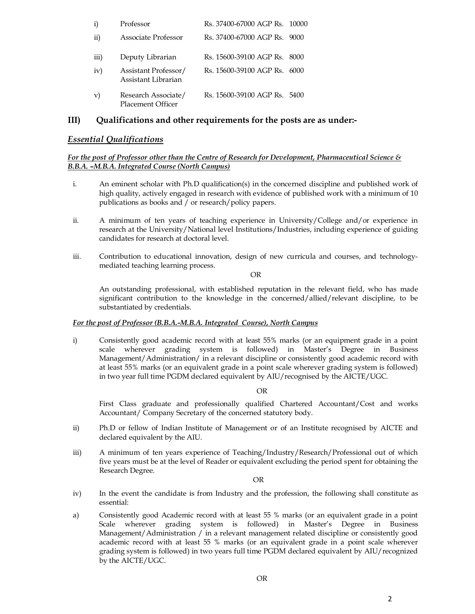| i)        | Professor                                       | Rs. 37400-67000 AGP Rs. 10000 |      |
|-----------|-------------------------------------------------|-------------------------------|------|
| $\rm ii)$ | Associate Professor                             | Rs. 37400-67000 AGP Rs. 9000  |      |
| iii)      | Deputy Librarian                                | Rs. 15600-39100 AGP Rs.       | 8000 |
| iv)       | Assistant Professor/<br>Assistant Librarian     | Rs. 15600-39100 AGP Rs.       | 6000 |
| V)        | Research Associate/<br><b>Placement Officer</b> | Rs. 15600-39100 AGP Rs. 5400  |      |

# **III) Qualifications and other requirements for the posts are as under:-**

# *Essential Qualifications*

## *For the post of Professor other than the Centre of Research for Development, Pharmaceutical Science & B.B.A. –M.B.A. Integrated Course (North Campus)*

- i. An eminent scholar with Ph.D qualification(s) in the concerned discipline and published work of high quality, actively engaged in research with evidence of published work with a minimum of 10 publications as books and / or research/policy papers.
- ii. A minimum of ten years of teaching experience in University/College and/or experience in research at the University/National level Institutions/Industries, including experience of guiding candidates for research at doctoral level.
- iii. Contribution to educational innovation, design of new curricula and courses, and technologymediated teaching learning process.

OR

An outstanding professional, with established reputation in the relevant field, who has made significant contribution to the knowledge in the concerned/allied/relevant discipline, to be substantiated by credentials.

#### *For the post of Professor (B.B.A.-M.B.A. Integrated Course), North Campus*

i) Consistently good academic record with at least 55% marks (or an equipment grade in a point scale wherever grading system is followed) in Master's Degree in Business Management/Administration/ in a relevant discipline or consistently good academic record with at least 55% marks (or an equivalent grade in a point scale wherever grading system is followed) in two year full time PGDM declared equivalent by AIU/recognised by the AICTE/UGC.

OR

First Class graduate and professionally qualified Chartered Accountant/Cost and works Accountant/ Company Secretary of the concerned statutory body.

- ii) Ph.D or fellow of Indian Institute of Management or of an Institute recognised by AICTE and declared equivalent by the AIU.
- iii) A minimum of ten years experience of Teaching/Industry/Research/Professional out of which five years must be at the level of Reader or equivalent excluding the period spent for obtaining the Research Degree.

OR

- iv) In the event the candidate is from Industry and the profession, the following shall constitute as essential:
- a) Consistently good Academic record with at least 55 % marks (or an equivalent grade in a point Scale wherever grading system is followed) in Master's Degree in Business Management/Administration / in a relevant management related discipline or consistently good academic record with at least 55 % marks (or an equivalent grade in a point scale wherever grading system is followed) in two years full time PGDM declared equivalent by AIU/recognized by the AICTE/UGC.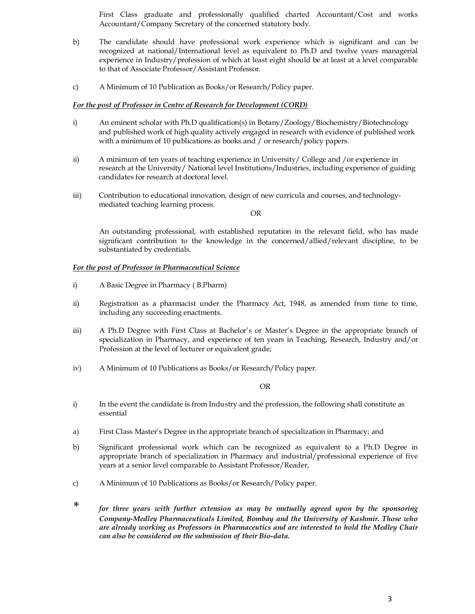First Class graduate and professionally qualified charted Accountant/Cost and works Accountant/Company Secretary of the concerned statutory body.

- b) The candidate should have professional work experience which is significant and can be recognized at national/International level as equivalent to Ph.D and twelve years managerial experience in Industry/profession of which at least eight should be at least at a level comparable to that of Associate Professor/Assistant Professor.
- c) A Minimum of 10 Publication as Books/or Research/Policy paper.

#### *For the post of Professor in Centre of Research for Development (CORD)*

- i) An eminent scholar with Ph.D qualification(s) in Botany/Zoology/Biochemistry/Biotechnology and published work of high quality actively engaged in research with evidence of published work with a minimum of 10 publications as books and / or research/policy papers.
- ii) A minimum of ten years of teaching experience in University/ College and /or experience in research at the University/ National level Institutions/Industries, including experience of guiding candidates for research at doctoral level.
- iii) Contribution to educational innovation, design of new curricula and courses, and technologymediated teaching learning process.

OR

An outstanding professional, with established reputation in the relevant field, who has made significant contribution to the knowledge in the concerned/allied/relevant discipline, to be substantiated by credentials.

#### *For the post of Professor in Pharmaceutical Science*

- i) A Basic Degree in Pharmacy ( B.Pharm)
- ii) Registration as a pharmacist under the Pharmacy Act, 1948, as amended from time to time, including any succeeding enactments.
- iii) A Ph.D Degree with First Class at Bachelor's or Master's Degree in the appropriate branch of specialization in Pharmacy, and experience of ten years in Teaching, Research, Industry and/or Profession at the level of lecturer or equivalent grade;
- iv) A Minimum of 10 Publications as Books/or Research/Policy paper.

#### OR

- i) In the event the candidate is from Industry and the profession, the following shall constitute as essential
- a) First Class Master's Degree in the appropriate branch of specialization in Pharmacy; and
- b) Significant professional work which can be recognized as equivalent to a Ph.D Degree in appropriate branch of specialization in Pharmacy and industrial/professional experience of five years at a senior level comparable to Assistant Professor/Reader,
- c) A Minimum of 10 Publications as Books/or Research/Policy paper.
- *\* for three years with further extension as may be mutually agreed upon by the sponsoring Company-Medley Pharmaceuticals Limited, Bombay and the University of Kashmir. Those who are already working as Professors in Pharmaceutics and are interested to hold the Medley Chair can also be considered on the submission of their Bio-data.*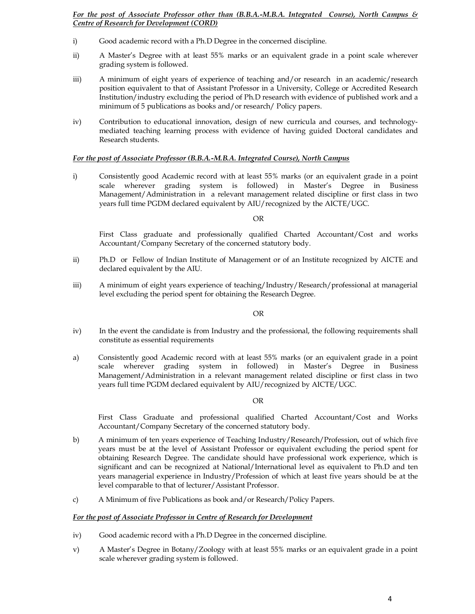*For the post of Associate Professor other than (B.B.A.-M.B.A. Integrated Course), North Campus & Centre of Research for Development (CORD)*

- i) Good academic record with a Ph.D Degree in the concerned discipline.
- ii) A Master's Degree with at least 55% marks or an equivalent grade in a point scale wherever grading system is followed.
- iii) A minimum of eight years of experience of teaching and/or research in an academic/research position equivalent to that of Assistant Professor in a University, College or Accredited Research Institution/industry excluding the period of Ph.D research with evidence of published work and a minimum of 5 publications as books and/or research/ Policy papers.
- iv) Contribution to educational innovation, design of new curricula and courses, and technologymediated teaching learning process with evidence of having guided Doctoral candidates and Research students.

#### *For the post of Associate Professor (B.B.A.-M.B.A. Integrated Course), North Campus*

i) Consistently good Academic record with at least 55% marks (or an equivalent grade in a point scale wherever grading system is followed) in Master's Degree in Business Management/Administration in a relevant management related discipline or first class in two years full time PGDM declared equivalent by AIU/recognized by the AICTE/UGC.

#### OR

First Class graduate and professionally qualified Charted Accountant/Cost and works Accountant/Company Secretary of the concerned statutory body.

- ii) Ph.D or Fellow of Indian Institute of Management or of an Institute recognized by AICTE and declared equivalent by the AIU.
- iii) A minimum of eight years experience of teaching/Industry/Research/professional at managerial level excluding the period spent for obtaining the Research Degree.

#### OR

- iv) In the event the candidate is from Industry and the professional, the following requirements shall constitute as essential requirements
- a) Consistently good Academic record with at least 55% marks (or an equivalent grade in a point scale wherever grading system in followed) in Master's Degree in Business Management/Administration in a relevant management related discipline or first class in two years full time PGDM declared equivalent by AIU/recognized by AICTE/UGC.

#### OR

First Class Graduate and professional qualified Charted Accountant/Cost and Works Accountant/Company Secretary of the concerned statutory body.

- b) A minimum of ten years experience of Teaching Industry/Research/Profession, out of which five years must be at the level of Assistant Professor or equivalent excluding the period spent for obtaining Research Degree. The candidate should have professional work experience, which is significant and can be recognized at National/International level as equivalent to Ph.D and ten years managerial experience in Industry/Profession of which at least five years should be at the level comparable to that of lecturer/Assistant Professor.
- c) A Minimum of five Publications as book and/or Research/Policy Papers.

#### *For the post of Associate Professor in Centre of Research for Development*

- iv) Good academic record with a Ph.D Degree in the concerned discipline.
- v) A Master's Degree in Botany/Zoology with at least 55% marks or an equivalent grade in a point scale wherever grading system is followed.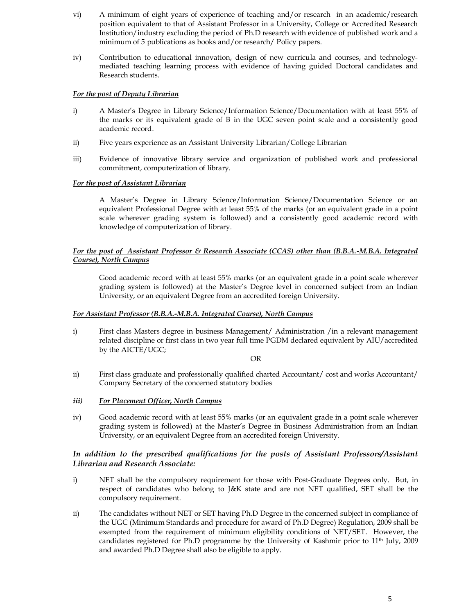- vi) A minimum of eight years of experience of teaching and/or research in an academic/research position equivalent to that of Assistant Professor in a University, College or Accredited Research Institution/industry excluding the period of Ph.D research with evidence of published work and a minimum of 5 publications as books and/or research/ Policy papers.
- iv) Contribution to educational innovation, design of new curricula and courses, and technologymediated teaching learning process with evidence of having guided Doctoral candidates and Research students.

# *For the post of Deputy Librarian*

- i) A Master's Degree in Library Science/Information Science/Documentation with at least 55% of the marks or its equivalent grade of B in the UGC seven point scale and a consistently good academic record.
- ii) Five years experience as an Assistant University Librarian/College Librarian
- iii) Evidence of innovative library service and organization of published work and professional commitment, computerization of library.

# *For the post of Assistant Librarian*

A Master's Degree in Library Science/Information Science/Documentation Science or an equivalent Professional Degree with at least 55% of the marks (or an equivalent grade in a point scale wherever grading system is followed) and a consistently good academic record with knowledge of computerization of library.

# *For the post of Assistant Professor & Research Associate (CCAS) other than (B.B.A.-M.B.A. Integrated Course), North Campus*

Good academic record with at least 55% marks (or an equivalent grade in a point scale wherever grading system is followed) at the Master's Degree level in concerned subject from an Indian University, or an equivalent Degree from an accredited foreign University.

## *For Assistant Professor (B.B.A.-M.B.A. Integrated Course), North Campus*

i) First class Masters degree in business Management/ Administration /in a relevant management related discipline or first class in two year full time PGDM declared equivalent by AIU/accredited by the AICTE/UGC;

## OR

- ii) First class graduate and professionally qualified charted Accountant/ cost and works Accountant/ Company Secretary of the concerned statutory bodies
- *iii) For Placement Officer, North Campus*
- iv) Good academic record with at least 55% marks (or an equivalent grade in a point scale wherever grading system is followed) at the Master's Degree in Business Administration from an Indian University, or an equivalent Degree from an accredited foreign University.

# *In addition to the prescribed qualifications for the posts of Assistant Professors/Assistant Librarian and Research Associate:*

- i) NET shall be the compulsory requirement for those with Post-Graduate Degrees only. But, in respect of candidates who belong to J&K state and are not NET qualified, SET shall be the compulsory requirement.
- ii) The candidates without NET or SET having Ph.D Degree in the concerned subject in compliance of the UGC (Minimum Standards and procedure for award of Ph.D Degree) Regulation, 2009 shall be exempted from the requirement of minimum eligibility conditions of NET/SET. However, the candidates registered for Ph.D programme by the University of Kashmir prior to 11th July, 2009 and awarded Ph.D Degree shall also be eligible to apply.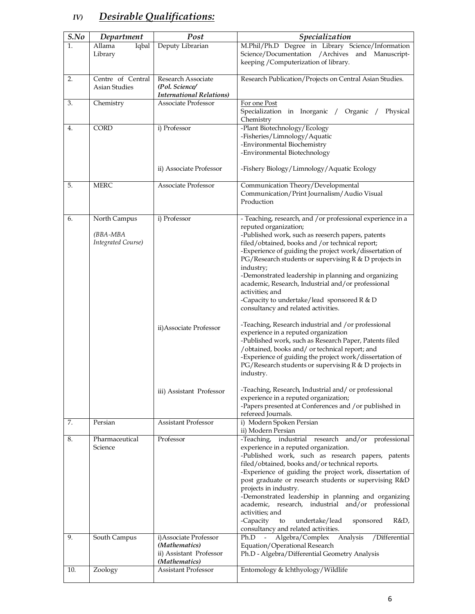# *IV) Desirable Qualifications:*

| S.No | Department                | Post                                              | Specialization                                                                                                    |
|------|---------------------------|---------------------------------------------------|-------------------------------------------------------------------------------------------------------------------|
| 1.   | Allama<br>Iqbal           | Deputy Librarian                                  | M.Phil/Ph.D Degree in Library Science/Information                                                                 |
|      | Library                   |                                                   | Science/Documentation /Archives and Manuscript-<br>keeping / Computerization of library.                          |
| 2.   | Centre of Central         | Research Associate                                | Research Publication/Projects on Central Asian Studies.                                                           |
|      | Asian Studies             | (Pol. Science/<br><b>International Relations)</b> |                                                                                                                   |
| 3.   | Chemistry                 | Associate Professor                               | For one Post                                                                                                      |
|      |                           |                                                   | Specialization in Inorganic / Organic /<br>Physical<br>Chemistry                                                  |
| 4.   | CORD                      | i) Professor                                      | -Plant Biotechnology/Ecology                                                                                      |
|      |                           |                                                   | -Fisheries/Limnology/Aquatic<br>-Environmental Biochemistry                                                       |
|      |                           |                                                   | -Environmental Biotechnology                                                                                      |
|      |                           | ii) Associate Professor                           | -Fishery Biology/Limnology/Aquatic Ecology                                                                        |
| 5.   | <b>MERC</b>               | Associate Professor                               | Communication Theory/Developmental                                                                                |
|      |                           |                                                   | Communication/Print Journalism/Audio Visual<br>Production                                                         |
| 6.   | North Campus              | i) Professor                                      | - Teaching, research, and / or professional experience in a                                                       |
|      | (BBA-MBA                  |                                                   | reputed organization;<br>-Published work, such as reeserch papers, patents                                        |
|      | <b>Integrated Course)</b> |                                                   | filed/obtained, books and /or technical report;                                                                   |
|      |                           |                                                   | -Experience of guiding the project work/dissertation of                                                           |
|      |                           |                                                   | PG/Research students or supervising R & D projects in<br>industry;                                                |
|      |                           |                                                   | -Demonstrated leadership in planning and organizing                                                               |
|      |                           |                                                   | academic, Research, Industrial and/or professional<br>activities; and                                             |
|      |                           |                                                   | -Capacity to undertake/lead sponsored $R & D$                                                                     |
|      |                           |                                                   | consultancy and related activities.                                                                               |
|      |                           | ii) Associate Professor                           | -Teaching, Research industrial and /or professional                                                               |
|      |                           |                                                   | experience in a reputed organization<br>-Published work, such as Research Paper, Patents filed                    |
|      |                           |                                                   | /obtained, books and/ or technical report; and                                                                    |
|      |                           |                                                   | -Experience of guiding the project work/dissertation of<br>PG/Research students or supervising R & D projects in  |
|      |                           |                                                   | industry.                                                                                                         |
|      |                           | iii) Assistant Professor                          | -Teaching, Research, Industrial and/ or professional                                                              |
|      |                           |                                                   | experience in a reputed organization;<br>-Papers presented at Conferences and /or published in                    |
|      |                           |                                                   | refereed Journals.                                                                                                |
| 7.   | Persian                   | Assistant Professor                               | i) Modern Spoken Persian<br>ii) Modern Persian                                                                    |
| 8.   | Pharmaceutical            | Professor                                         | industrial research and/or professional<br>-Teaching,                                                             |
|      | Science                   |                                                   | experience in a reputed organization.<br>-Published work, such as research papers, patents                        |
|      |                           |                                                   | filed/obtained, books and/or technical reports.                                                                   |
|      |                           |                                                   | -Experience of guiding the project work, dissertation of<br>post graduate or research students or supervising R&D |
|      |                           |                                                   | projects in industry.                                                                                             |
|      |                           |                                                   | -Demonstrated leadership in planning and organizing<br>academic, research, industrial and/or professional         |
|      |                           |                                                   | activities; and                                                                                                   |
|      |                           |                                                   | to<br>undertake/lead<br>sponsored<br>R&D,<br>-Capacity<br>consultancy and related activities.                     |
| 9.   | South Campus              | i) Associate Professor                            | Analysis<br>/Differential<br>Ph.D<br>Algebra/Complex                                                              |
|      |                           | (Mathematics)<br>ii) Assistant Professor          | Equation/Operational Research<br>Ph.D - Algebra/Differential Geometry Analysis                                    |
| 10.  |                           | (Mathematics)<br><b>Assistant Professor</b>       |                                                                                                                   |
|      | Zoology                   |                                                   | Entomology & Ichthyology/Wildlife                                                                                 |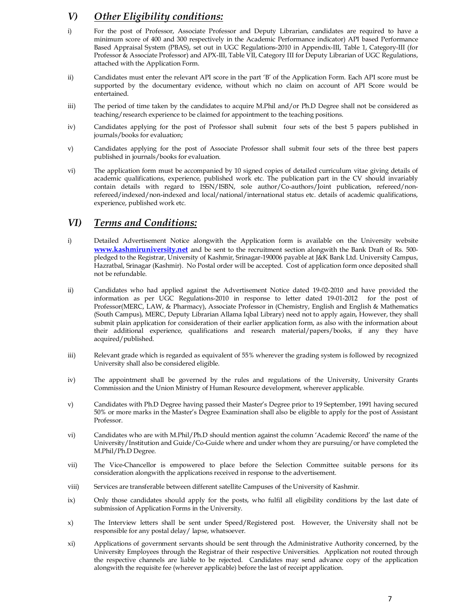# *V) Other Eligibility conditions:*

- i) For the post of Professor, Associate Professor and Deputy Librarian, candidates are required to have a minimum score of 400 and 300 respectively in the Academic Performance indicator) API based Performance Based Appraisal System (PBAS), set out in UGC Regulations-2010 in Appendix-III, Table 1, Category-III (for Professor & Associate Professor) and APX-III, Table VII, Category III for Deputy Librarian of UGC Regulations, attached with the Application Form.
- ii) Candidates must enter the relevant API score in the part 'B' of the Application Form. Each API score must be supported by the documentary evidence, without which no claim on account of API Score would be entertained.
- iii) The period of time taken by the candidates to acquire M.Phil and/or Ph.D Degree shall not be considered as teaching/research experience to be claimed for appointment to the teaching positions.
- iv) Candidates applying for the post of Professor shall submit four sets of the best 5 papers published in journals/books for evaluation;
- v) Candidates applying for the post of Associate Professor shall submit four sets of the three best papers published in journals/books for evaluation.
- vi) The application form must be accompanied by 10 signed copies of detailed curriculum vitae giving details of academic qualifications, experience, published work etc. The publication part in the CV should invariably contain details with regard to ISSN/ISBN, sole author/Co-authors/Joint publication, refereed/nonrefereed/indexed/non-indexed and local/national/international status etc. details of academic qualifications, experience, published work etc.

# *VI) Terms and Conditions:*

- i) Detailed Advertisement Notice alongwith the Application form is available on the University website **www.kashmiruniversity.net** and be sent to the recruitment section alongwith the Bank Draft of Rs. 500 pledged to the Registrar, University of Kashmir, Srinagar-190006 payable at J&K Bank Ltd. University Campus, [Hazratbal, Srinagar](http://www.kashmiruniversity.net/) (Kashmir). No Postal order will be accepted. Cost of application form once deposited shall not be refundable.
- ii) Candidates who had applied against the Advertisement Notice dated 19-02-2010 and have provided the information as per UGC Regulations-2010 in response to letter dated 19-01-2012 for the post of Professor(MERC, LAW, & Pharmacy), Associate Professor in (Chemistry, English and English & Mathematics (South Campus), MERC, Deputy Librarian Allama Iqbal Library) need not to apply again, However, they shall submit plain application for consideration of their earlier application form, as also with the information about their additional experience, qualifications and research material/papers/books, if any they have acquired/published.
- iii) Relevant grade which is regarded as equivalent of 55% wherever the grading system is followed by recognized University shall also be considered eligible.
- iv) The appointment shall be governed by the rules and regulations of the University, University Grants Commission and the Union Ministry of Human Resource development, wherever applicable.
- v) Candidates with Ph.D Degree having passed their Master's Degree prior to 19 September, 1991 having secured 50% or more marks in the Master's Degree Examination shall also be eligible to apply for the post of Assistant Professor.
- vi) Candidates who are with M.Phil/Ph.D should mention against the column 'Academic Record' the name of the University/Institution and Guide/Co-Guide where and under whom they are pursuing/or have completed the M.Phil/Ph.D Degree.
- vii) The Vice-Chancellor is empowered to place before the Selection Committee suitable persons for its consideration alongwith the applications received in response to the advertisement.
- viii) Services are transferable between different satellite Campuses of the University of Kashmir.
- ix) Only those candidates should apply for the posts, who fulfil all eligibility conditions by the last date of submission of Application Forms in the University.
- x) The Interview letters shall be sent under Speed/Registered post. However, the University shall not be responsible for any postal delay/ lapse, whatsoever.
- xi) Applications of government servants should be sent through the Administrative Authority concerned, by the University Employees through the Registrar of their respective Universities. Application not routed through the respective channels are liable to be rejected. Candidates may send advance copy of the application alongwith the requisite fee (wherever applicable) before the last of receipt application.